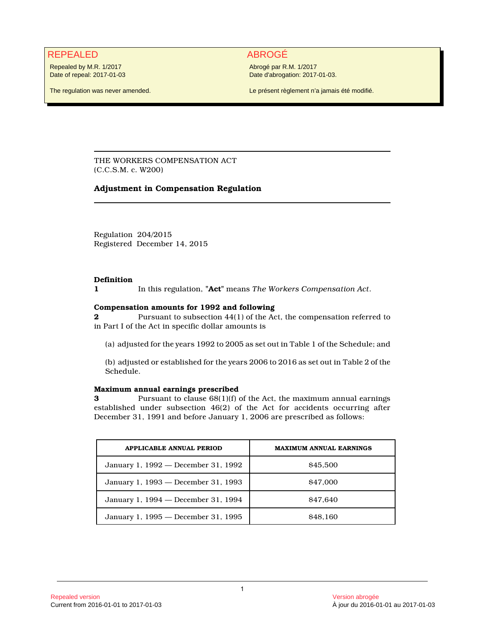# REPEALED ABROGÉ

Repealed by M.R. 1/2017 Date of repeal: 2017-01-03

The regulation was never amended.

Abrogé par R.M. 1/2017 Date d'abrogation: 2017-01-03.

Le présent règlement n'a jamais été modifié.

THE WORKERS COMPENSATION ACT (C.C.S.M. c. W200)

# **Adjustment in Compensation Regulation**

Regulation 204/2015 Registered December 14, 2015

### **Definition**

**1** In this regulation, **"Act"** means *The Workers Compensation Act*.

### **Compensation amounts for 1992 and following**

**2** Pursuant to subsection 44(1) of the Act, the compensation referred to in Part I of the Act in specific dollar amounts is

(a) adjusted for the years 1992 to 2005 as set out in Table 1 of the Schedule; and

(b) adjusted or established for the years 2006 to 2016 as set out in Table 2 of the Schedule.

## **Maximum annual earnings prescribed**

**3** Pursuant to clause  $68(1)(f)$  of the Act, the maximum annual earnings established under subsection 46(2) of the Act for accidents occurring after December 31, 1991 and before January 1, 2006 are prescribed as follows:

| <b>APPLICABLE ANNUAL PERIOD</b>     | <b>MAXIMUM ANNUAL EARNINGS</b> |
|-------------------------------------|--------------------------------|
| January 1, 1992 — December 31, 1992 | \$45,500                       |
| January 1, 1993 — December 31, 1993 | \$47,000                       |
| January 1, 1994 — December 31, 1994 | \$47.640                       |
| January 1, 1995 - December 31, 1995 | <b>S<sub>48.160</sub></b>      |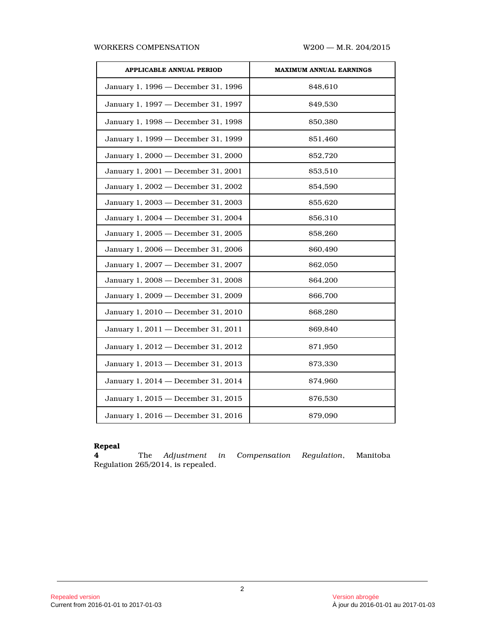### WORKERS COMPENSATION W200 - M.R. 204/2015

| <b>APPLICABLE ANNUAL PERIOD</b>     | <b>MAXIMUM ANNUAL EARNINGS</b> |  |  |  |  |  |
|-------------------------------------|--------------------------------|--|--|--|--|--|
| January 1, 1996 - December 31, 1996 | \$48,610                       |  |  |  |  |  |
| January 1, 1997 - December 31, 1997 | \$49.530                       |  |  |  |  |  |
| January 1, 1998 - December 31, 1998 | \$50,380                       |  |  |  |  |  |
| January 1, 1999 - December 31, 1999 | \$51,460                       |  |  |  |  |  |
| January 1, 2000 - December 31, 2000 | \$52,720                       |  |  |  |  |  |
| January 1, 2001 - December 31, 2001 | \$53,510                       |  |  |  |  |  |
| January 1, 2002 - December 31, 2002 | \$54,590                       |  |  |  |  |  |
| January 1, 2003 - December 31, 2003 | \$55.620                       |  |  |  |  |  |
| January 1, 2004 - December 31, 2004 | \$56,310                       |  |  |  |  |  |
| January 1, 2005 - December 31, 2005 | \$58,260                       |  |  |  |  |  |
| January 1, 2006 - December 31, 2006 | \$60,490                       |  |  |  |  |  |
| January 1, 2007 - December 31, 2007 | \$62,050                       |  |  |  |  |  |
| January 1, 2008 - December 31, 2008 | \$64,200                       |  |  |  |  |  |
| January 1, 2009 - December 31, 2009 | \$66,700                       |  |  |  |  |  |
| January 1, 2010 - December 31, 2010 | \$68,280                       |  |  |  |  |  |
| January 1, 2011 - December 31, 2011 | \$69,840                       |  |  |  |  |  |
| January 1, 2012 - December 31, 2012 | \$71,950                       |  |  |  |  |  |
| January 1, 2013 - December 31, 2013 | \$73,330                       |  |  |  |  |  |
| January 1, 2014 - December 31, 2014 | \$74,960                       |  |  |  |  |  |
| January 1, 2015 - December 31, 2015 | \$76,530                       |  |  |  |  |  |
| January 1, 2016 - December 31, 2016 | \$79,090                       |  |  |  |  |  |

# **Repeal**

**4** The *Adjustment in Compensation Regulation*, Manitoba Regulation 265/2014, is repealed.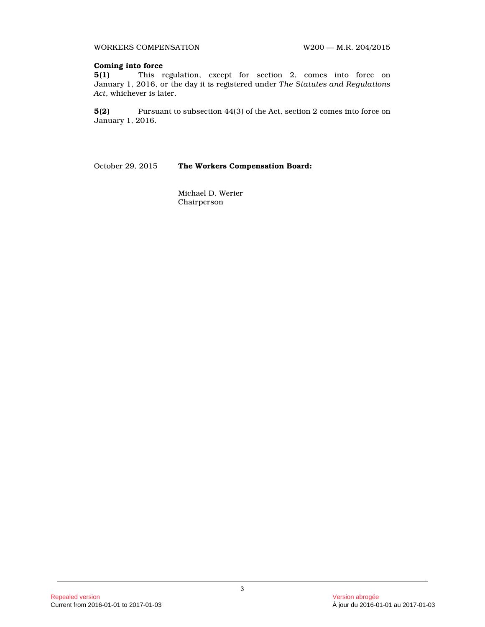WORKERS COMPENSATION W200 - M.R. 204/2015

# **Coming into force**

**5(1)** This regulation, except for section 2, comes into force on January 1, 2016, or the day it is registered under *The Statutes and Regulations Act*, whichever is later.

**5(2)** Pursuant to subsection 44(3) of the Act, section 2 comes into force on January 1, 2016.

October 29, 2015 **The Workers Compensation Board:**

Michael D. Werier Chairperson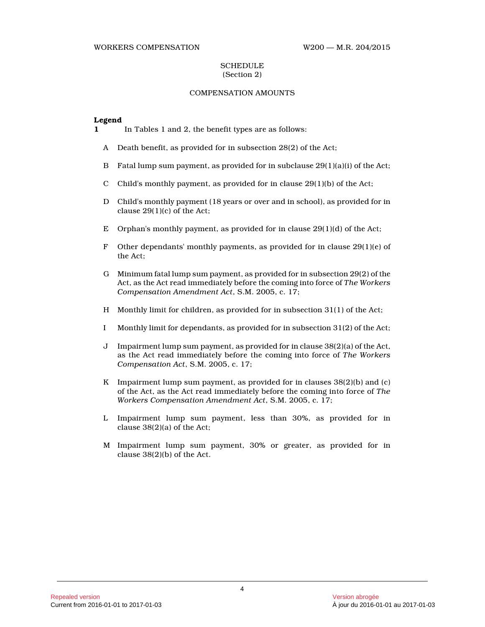#### WORKERS COMPENSATION W200 — M.R. 204/2015

#### **SCHEDULE** (Section 2)

# COMPENSATION AMOUNTS

#### **Legend**

**1** In Tables 1 and 2, the benefit types are as follows:

- A Death benefit, as provided for in subsection 28(2) of the Act;
- B Fatal lump sum payment, as provided for in subclause 29(1)(a)(i) of the Act;
- C Child's monthly payment, as provided for in clause  $29(1)(b)$  of the Act;
- D Child's monthly payment (18 years or over and in school), as provided for in clause 29(1)(c) of the Act;
- E Orphan's monthly payment, as provided for in clause 29(1)(d) of the Act;
- F Other dependants' monthly payments, as provided for in clause  $29(1)(e)$  of the Act;
- G Minimum fatal lump sum payment, as provided for in subsection 29(2) of the Act, as the Act read immediately before the coming into force of *The Workers Compensation Amendment Act*, S.M. 2005, c. 17;
- H Monthly limit for children, as provided for in subsection 31(1) of the Act;
- I Monthly limit for dependants, as provided for in subsection 31(2) of the Act;
- J Impairment lump sum payment, as provided for in clause 38(2)(a) of the Act, as the Act read immediately before the coming into force of *The Workers Compensation Act*, S.M. 2005, c. 17;
- K Impairment lump sum payment, as provided for in clauses  $38(2)(b)$  and (c) of the Act, as the Act read immediately before the coming into force of *The Workers Compensation Amendment Act*, S.M. 2005, c. 17;
- L Impairment lump sum payment, less than 30%, as provided for in clause 38(2)(a) of the Act;
- M Impairment lump sum payment, 30% or greater, as provided for in clause 38(2)(b) of the Act.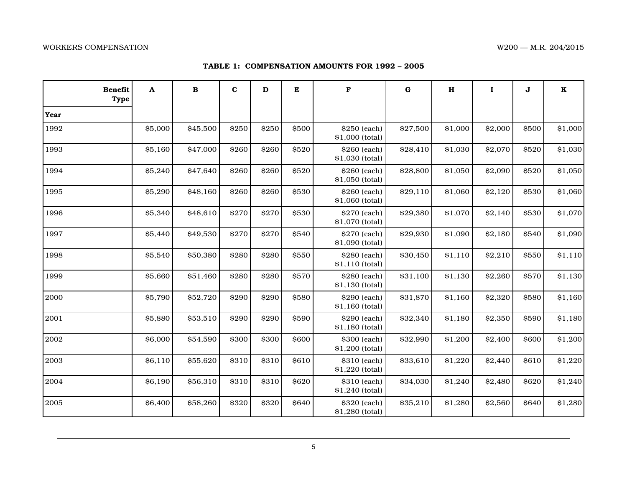### **TABLE 1: COMPENSATION AMOUNTS FOR 1992 – 2005**

| <b>Benefit</b><br><b>Type</b> | A       | $\bf{B}$ | $\mathbf c$ | D            | E     | F                               | $\bf G$  | H       | $\mathbf I$ | J     | $\mathbf K$ |
|-------------------------------|---------|----------|-------------|--------------|-------|---------------------------------|----------|---------|-------------|-------|-------------|
| Year                          |         |          |             |              |       |                                 |          |         |             |       |             |
| 1992                          | \$5,000 | \$45,500 | \$250       | \$250        | \$500 | \$250 (each)<br>\$1,000 (total) | \$27,500 | \$1,000 | \$2,000     | \$500 | \$1,000     |
| 1993                          | \$5,160 | \$47,000 | \$260       | \$260        | \$520 | \$260 (each)<br>\$1,030 (total) | \$28,410 | \$1,030 | \$2,070     | \$520 | \$1,030     |
| 1994                          | \$5,240 | \$47,640 | \$260       | \$260        | \$520 | \$260 (each)<br>\$1,050 (total) | \$28,800 | \$1,050 | \$2,090     | \$520 | \$1,050     |
| 1995                          | \$5,290 | \$48,160 | \$260       | \$260        | \$530 | \$260 (each)<br>\$1,060 (total) | \$29,110 | \$1,060 | \$2,120     | \$530 | \$1,060     |
| 1996                          | \$5,340 | \$48,610 | \$270       | \$270        | \$530 | \$270 (each)<br>\$1,070 (total) | \$29,380 | \$1,070 | \$2,140     | \$530 | \$1,070     |
| 1997                          | \$5,440 | \$49,530 | \$270       | \$270        | \$540 | \$270 (each)<br>\$1,090 (total) | \$29,930 | \$1,090 | \$2,180     | \$540 | \$1,090     |
| 1998                          | \$5,540 | \$50,380 | \$280       | \$280        | \$550 | \$280 (each)<br>\$1,110 (total) | \$30,450 | \$1,110 | \$2,210     | \$550 | \$1,110     |
| 1999                          | \$5,660 | \$51,460 | \$280       | \$280        | \$570 | \$280 (each)<br>\$1,130 (total) | \$31,100 | \$1,130 | \$2,260     | \$570 | \$1,130     |
| 2000                          | \$5,790 | \$52,720 | \$290       | \$290        | \$580 | \$290 (each)<br>\$1,160 (total) | \$31,870 | \$1,160 | \$2,320     | \$580 | \$1,160     |
| 2001                          | \$5,880 | \$53,510 | \$290       | \$290        | \$590 | \$290 (each)<br>\$1,180 (total) | \$32,340 | \$1,180 | \$2,350     | \$590 | \$1,180     |
| 2002                          | \$6,000 | \$54,590 | \$300       | \$300        | \$600 | \$300 (each)<br>\$1,200 (total) | \$32,990 | \$1,200 | \$2,400     | \$600 | \$1,200     |
| 2003                          | \$6,110 | \$55,620 | \$310       | <b>\$310</b> | \$610 | \$310 (each)<br>\$1,220 (total) | \$33,610 | \$1,220 | \$2,440     | \$610 | \$1,220     |
| 2004                          | \$6,190 | \$56,310 | \$310       | \$310        | \$620 | \$310 (each)<br>\$1,240 (total) | \$34,030 | \$1,240 | \$2,480     | \$620 | \$1,240     |
| 2005                          | \$6,400 | \$58,260 | \$320       | \$320        | \$640 | \$320 (each)<br>\$1,280 (total) | \$35,210 | \$1,280 | \$2,560     | \$640 | \$1,280     |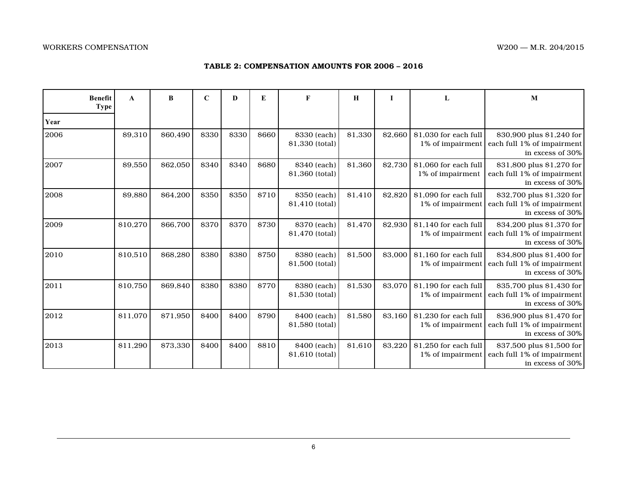# **TABLE 2: COMPENSATION AMOUNTS FOR 2006 – 2016**

|      | <b>Benefit</b><br><b>Type</b> | A        | B        | $\mathbf C$ | D     | E           | F                               | H       |         |                                           | M                                                                           |
|------|-------------------------------|----------|----------|-------------|-------|-------------|---------------------------------|---------|---------|-------------------------------------------|-----------------------------------------------------------------------------|
| Year |                               |          |          |             |       |             |                                 |         |         |                                           |                                                                             |
| 2006 |                               | \$9,310  | \$60,490 | \$330       | \$330 | <b>S660</b> | \$330 (each)<br>\$1,330 (total) | \$1,330 | \$2.660 | \$1,030 for each full<br>1% of impairment | \$30,900 plus \$1,240 for<br>each full 1% of impairment<br>in excess of 30% |
| 2007 |                               | \$9,550  | \$62,050 | \$340       | \$340 | \$680       | \$340 (each)<br>\$1,360 (total) | \$1,360 | \$2,730 | \$1,060 for each full<br>1% of impairment | \$31,800 plus \$1,270 for<br>each full 1% of impairment<br>in excess of 30% |
| 2008 |                               | \$9,880  | \$64,200 | \$350       | \$350 | \$710       | \$350 (each)<br>\$1,410 (total) | \$1,410 | \$2,820 | \$1,090 for each full<br>1% of impairment | \$32,700 plus \$1,320 for<br>each full 1% of impairment<br>in excess of 30% |
| 2009 |                               | \$10,270 | \$66,700 | \$370       | \$370 | \$730       | \$370 (each)<br>\$1,470 (total) | \$1,470 | \$2.930 | \$1,140 for each full<br>1% of impairment | \$34,200 plus \$1,370 for<br>each full 1% of impairment<br>in excess of 30% |
| 2010 |                               | \$10,510 | \$68,280 | \$380       | \$380 | \$750       | \$380 (each)<br>\$1,500 (total) | \$1,500 | \$3,000 | \$1.160 for each full<br>1% of impairment | \$34,800 plus \$1,400 for<br>each full 1% of impairment<br>in excess of 30% |
| 2011 |                               | \$10,750 | \$69,840 | \$380       | \$380 | \$770       | \$380 (each)<br>\$1,530 (total) | \$1,530 | \$3,070 | \$1,190 for each full<br>1% of impairment | \$35,700 plus \$1,430 for<br>each full 1% of impairment<br>in excess of 30% |
| 2012 |                               | \$11.070 | \$71,950 | \$400       | \$400 | \$790       | \$400 (each)<br>\$1,580 (total) | \$1,580 | \$3,160 | \$1.230 for each full<br>1% of impairment | \$36,900 plus \$1,470 for<br>each full 1% of impairment<br>in excess of 30% |
| 2013 |                               | \$11,290 | \$73,330 | \$400       | \$400 | \$810       | \$400 (each)<br>\$1,610 (total) | \$1,610 | \$3,220 | \$1,250 for each full<br>1% of impairment | \$37,500 plus \$1,500 for<br>each full 1% of impairment<br>in excess of 30% |